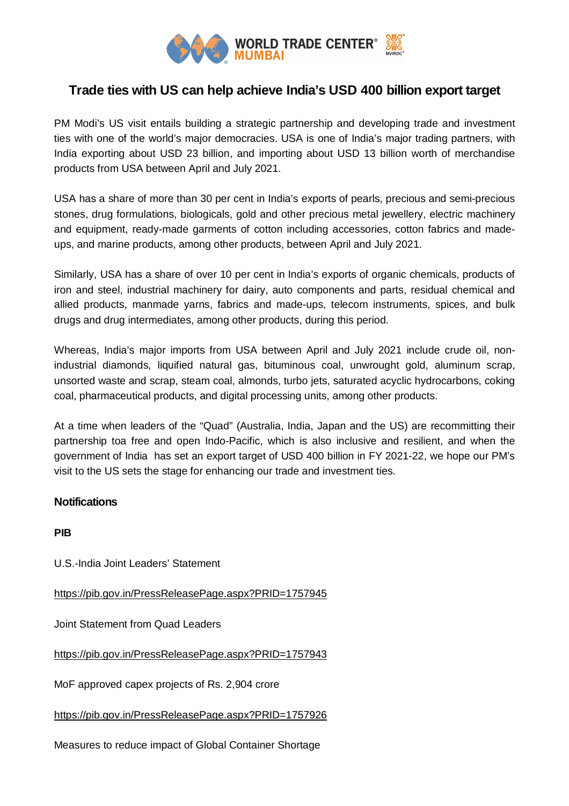

## **Trade ties with US can help achieve India's USD 400 billion export target**

PM Modi's US visit entails building a strategic partnership and developing trade and investment ties with one of the world's major democracies. USA is one of India's major trading partners, with India exporting about USD 23 billion, and importing about USD 13 billion worth of merchandise products from USA between April and July 2021.

USA has a share of more than 30 per cent in India's exports of pearls, precious and semi-precious stones, drug formulations, biologicals, gold and other precious metal jewellery, electric machinery and equipment, ready-made garments of cotton including accessories, cotton fabrics and madeups, and marine products, among other products, between April and July 2021.

Similarly, USA has a share of over 10 per cent in India's exports of organic chemicals, products of iron and steel, industrial machinery for dairy, auto components and parts, residual chemical and allied products, manmade yarns, fabrics and made-ups, telecom instruments, spices, and bulk drugs and drug intermediates, among other products, during this period.

Whereas, India's major imports from USA between April and July 2021 include crude oil, nonindustrial diamonds, liquified natural gas, bituminous coal, unwrought gold, aluminum scrap, unsorted waste and scrap, steam coal, almonds, turbo jets, saturated acyclic hydrocarbons, coking coal, pharmaceutical products, and digital processing units, among other products.

At a time when leaders of the "Quad" (Australia, India, Japan and the US) are recommitting their partnership toa free and open Indo-Pacific, which is also inclusive and resilient, and when the government of India has set an export target of USD 400 billion in FY 2021-22, we hope our PM's visit to the US sets the stage for enhancing our trade and investment ties.

## **Notifications**

**PIB**

U.S.-India Joint Leaders' Statement

https://pib.gov.in/PressReleasePage.aspx?PRID=1757945

Joint Statement from Quad Leaders

https://pib.gov.in/PressReleasePage.aspx?PRID=1757943

MoF approved capex projects of Rs. 2,904 crore

https://pib.gov.in/PressReleasePage.aspx?PRID=1757926

Measures to reduce impact of Global Container Shortage